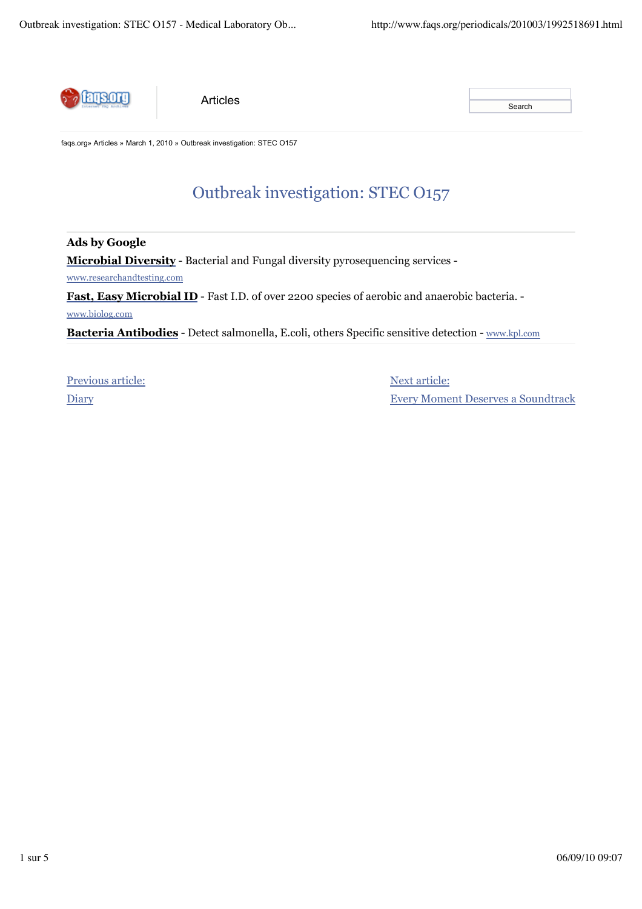

**Articles** Search Articles

faqs.org» Articles » March 1, 2010 » Outbreak investigation: STEC O157

# Outbreak investigation: STEC O157

**Ads by Google Microbial Diversity** - Bacterial and Fungal diversity pyrosequencing services www.researchandtesting.com

Fast, Easy Microbial ID - Fast I.D. of over 2200 species of aerobic and anaerobic bacteria. -

www.biolog.com

**Bacteria Antibodies** - Detect salmonella, E.coli, others Specific sensitive detection - www.kpl.com

Previous article: **Diary** 

Next article: Every Moment Deserves a Soundtrack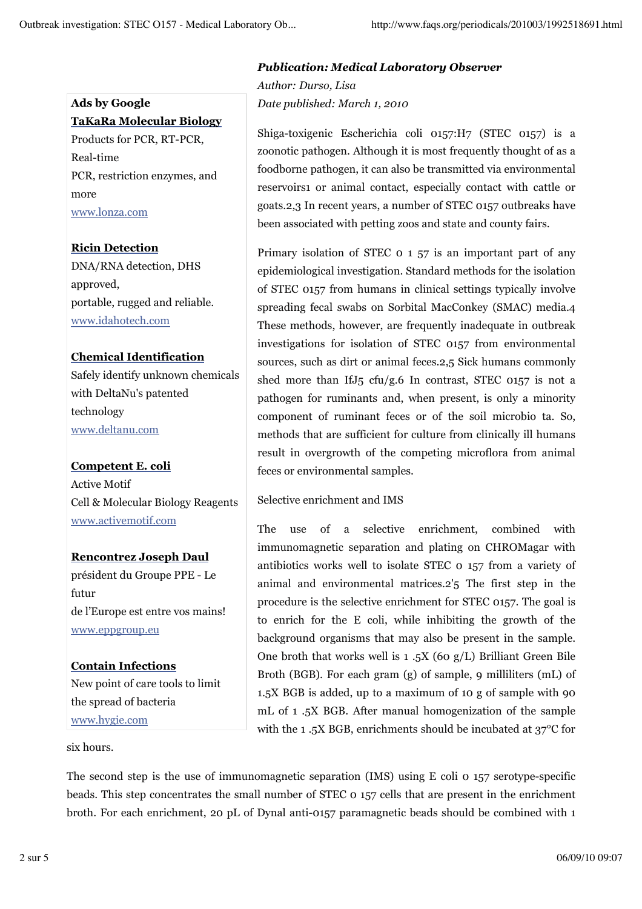## **Ads by Google TaKaRa Molecular Biology** Products for PCR, RT-PCR, Real-time

PCR, restriction enzymes, and more www.lonza.com

## **Ricin Detection**

DNA/RNA detection, DHS approved, portable, rugged and reliable. www.idahotech.com

### **Chemical Identification**

Safely identify unknown chemicals with DeltaNu's patented technology www.deltanu.com

### **Competent E. coli** Active Motif Cell & Molecular Biology Reagents www.activemotif.com

## **Rencontrez Joseph Daul** président du Groupe PPE - Le futur de l'Europe est entre vos mains! www.eppgroup.eu

## **Contain Infections**

New point of care tools to limit the spread of bacteria www.hygie.com

six hours.

## *Publication: Medical Laboratory Observer*

*Author: Durso, Lisa Date published: March 1, 2010*

Shiga-toxigenic Escherichia coli 0157:H7 (STEC 0157) is a zoonotic pathogen. Although it is most frequently thought of as a foodborne pathogen, it can also be transmitted via environmental reservoirs1 or animal contact, especially contact with cattle or goats.2,3 In recent years, a number of STEC 0157 outbreaks have been associated with petting zoos and state and county fairs.

Primary isolation of STEC 0 1 57 is an important part of any epidemiological investigation. Standard methods for the isolation of STEC 0157 from humans in clinical settings typically involve spreading fecal swabs on Sorbital MacConkey (SMAC) media.4 These methods, however, are frequently inadequate in outbreak investigations for isolation of STEC 0157 from environmental sources, such as dirt or animal feces.2,5 Sick humans commonly shed more than IfJ5 cfu/g.6 In contrast, STEC 0157 is not a pathogen for ruminants and, when present, is only a minority component of ruminant feces or of the soil microbio ta. So, methods that are sufficient for culture from clinically ill humans result in overgrowth of the competing microflora from animal feces or environmental samples.

## Selective enrichment and IMS

The use of a selective enrichment, combined with immunomagnetic separation and plating on CHROMagar with antibiotics works well to isolate STEC 0 157 from a variety of animal and environmental matrices.2'5 The first step in the procedure is the selective enrichment for STEC 0157. The goal is to enrich for the E coli, while inhibiting the growth of the background organisms that may also be present in the sample. One broth that works well is  $1.5X$  (60 g/L) Brilliant Green Bile Broth (BGB). For each gram (g) of sample, 9 milliliters (mL) of 1.5X BGB is added, up to a maximum of 10 g of sample with 90 mL of 1 .5X BGB. After manual homogenization of the sample with the 1 .5X BGB, enrichments should be incubated at 37°C for

The second step is the use of immunomagnetic separation (IMS) using E coli 0 157 serotype-specific beads. This step concentrates the small number of STEC 0 157 cells that are present in the enrichment broth. For each enrichment, 20 pL of Dynal anti-0157 paramagnetic beads should be combined with 1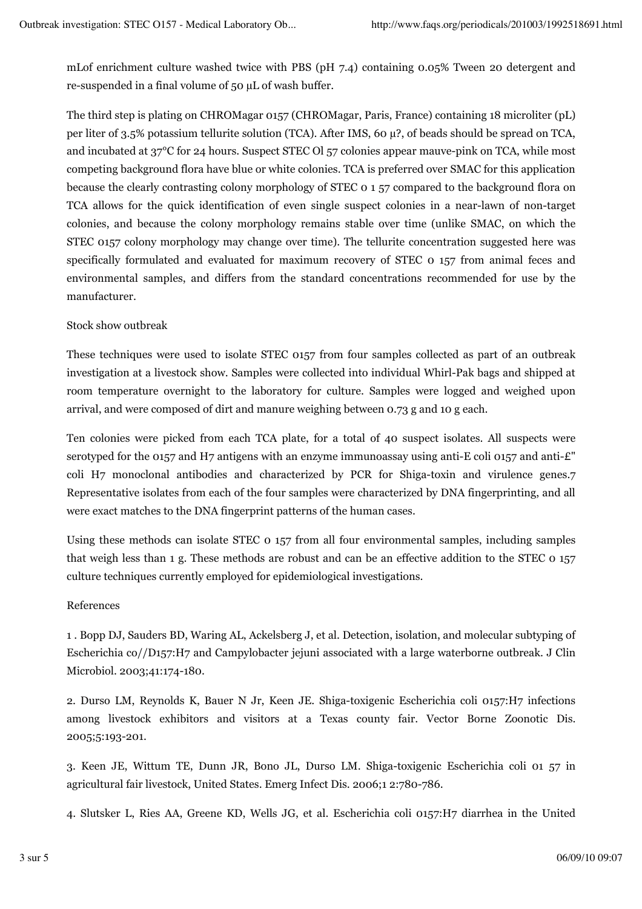mLof enrichment culture washed twice with PBS (pH 7.4) containing 0.05% Tween 20 detergent and re-suspended in a final volume of 50 µL of wash buffer.

The third step is plating on CHROMagar 0157 (CHROMagar, Paris, France) containing 18 microliter (pL) per liter of 3.5% potassium tellurite solution (TCA). After IMS, 60 µ?, of beads should be spread on TCA, and incubated at 37°C for 24 hours. Suspect STEC Ol 57 colonies appear mauve-pink on TCA, while most competing background flora have blue or white colonies. TCA is preferred over SMAC for this application because the clearly contrasting colony morphology of STEC 0 1 57 compared to the background flora on TCA allows for the quick identification of even single suspect colonies in a near-lawn of non-target colonies, and because the colony morphology remains stable over time (unlike SMAC, on which the STEC 0157 colony morphology may change over time). The tellurite concentration suggested here was specifically formulated and evaluated for maximum recovery of STEC 0 157 from animal feces and environmental samples, and differs from the standard concentrations recommended for use by the manufacturer.

#### Stock show outbreak

These techniques were used to isolate STEC 0157 from four samples collected as part of an outbreak investigation at a livestock show. Samples were collected into individual Whirl-Pak bags and shipped at room temperature overnight to the laboratory for culture. Samples were logged and weighed upon arrival, and were composed of dirt and manure weighing between 0.73 g and 10 g each.

Ten colonies were picked from each TCA plate, for a total of 40 suspect isolates. All suspects were serotyped for the 0157 and H7 antigens with an enzyme immunoassay using anti-E coli 0157 and anti- $\mathcal{L}$ " coli H7 monoclonal antibodies and characterized by PCR for Shiga-toxin and virulence genes.7 Representative isolates from each of the four samples were characterized by DNA fingerprinting, and all were exact matches to the DNA fingerprint patterns of the human cases.

Using these methods can isolate STEC 0 157 from all four environmental samples, including samples that weigh less than 1 g. These methods are robust and can be an effective addition to the STEC 0 157 culture techniques currently employed for epidemiological investigations.

#### References

1 . Bopp DJ, Sauders BD, Waring AL, Ackelsberg J, et al. Detection, isolation, and molecular subtyping of Escherichia co//D157:H7 and Campylobacter jejuni associated with a large waterborne outbreak. J Clin Microbiol. 2003;41:174-180.

2. Durso LM, Reynolds K, Bauer N Jr, Keen JE. Shiga-toxigenic Escherichia coli 0157:H7 infections among livestock exhibitors and visitors at a Texas county fair. Vector Borne Zoonotic Dis. 2005;5:193-201.

3. Keen JE, Wittum TE, Dunn JR, Bono JL, Durso LM. Shiga-toxigenic Escherichia coli 01 57 in agricultural fair livestock, United States. Emerg Infect Dis. 2006;1 2:780-786.

4. Slutsker L, Ries AA, Greene KD, Wells JG, et al. Escherichia coli 0157:H7 diarrhea in the United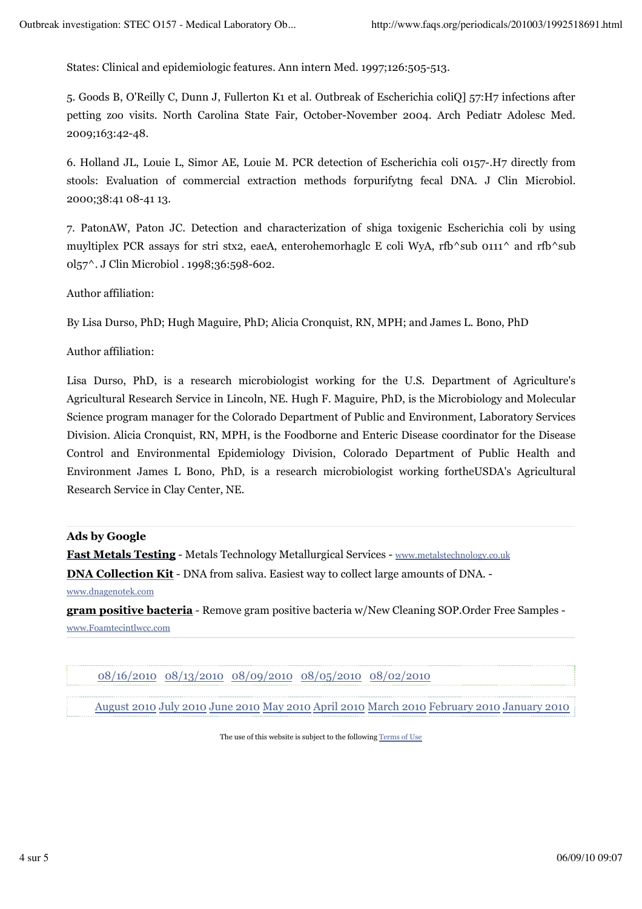States: Clinical and epidemiologic features. Ann intern Med. 1997;126:505-513.

5. Goods B, O'Reilly C, Dunn J, Fullerton K1 et al. Outbreak of Escherichia coliQ] 57:H7 infections after petting zoo visits. North Carolina State Fair, October-November 2004. Arch Pediatr Adolesc Med. 2009;163:42-48.

6. Holland JL, Louie L, Simor AE, Louie M. PCR detection of Escherichia coli 0157-.H7 directly from stools: Evaluation of commercial extraction methods forpurifytng fecal DNA. J Clin Microbiol. 2000;38:41 08-41 13.

7. PatonAW, Paton JC. Detection and characterization of shiga toxigenic Escherichia coli by using muyltiplex PCR assays for stri stx2, eaeA, enterohemorhaglc E coli WyA, rfb^sub 0111^ and rfb^sub 0l57^. J Clin Microbiol . 1998;36:598-602.

Author affiliation:

By Lisa Durso, PhD; Hugh Maguire, PhD; Alicia Cronquist, RN, MPH; and James L. Bono, PhD

Author affiliation:

Lisa Durso, PhD, is a research microbiologist working for the U.S. Department of Agriculture's Agricultural Research Service in Lincoln, NE. Hugh F. Maguire, PhD, is the Microbiology and Molecular Science program manager for the Colorado Department of Public and Environment, Laboratory Services Division. Alicia Cronquist, RN, MPH, is the Foodborne and Enteric Disease coordinator for the Disease Control and Environmental Epidemiology Division, Colorado Department of Public Health and Environment James L Bono, PhD, is a research microbiologist working fortheUSDA's Agricultural Research Service in Clay Center, NE.

**Ads by Google**

**Fast Metals Testing** - Metals Technology Metallurgical Services - www.metalstechnology.co.uk

**DNA Collection Kit** - DNA from saliva. Easiest way to collect large amounts of DNA. -

www.dnagenotek.com

**gram positive bacteria** - Remove gram positive bacteria w/New Cleaning SOP.Order Free Samples www.Foamtecintlwcc.com

08/16/2010 08/13/2010 08/09/2010 08/05/2010 08/02/2010

August 2010 July 2010 June 2010 May 2010 April 2010 March 2010 February 2010 January 2010

The use of this website is subject to the following Terms of Use